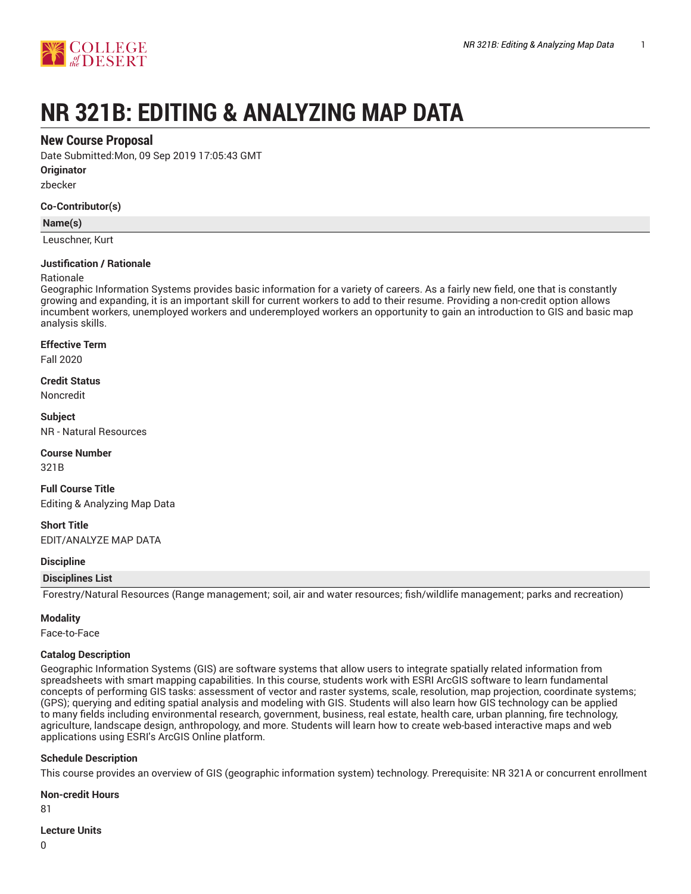

# **NR 321B: EDITING & ANALYZING MAP DATA**

# **New Course Proposal**

Date Submitted:Mon, 09 Sep 2019 17:05:43 GMT

**Originator**

zbecker

## **Co-Contributor(s)**

## **Name(s)**

Leuschner, Kurt

# **Justification / Rationale**

## Rationale

Geographic Information Systems provides basic information for a variety of careers. As a fairly new field, one that is constantly growing and expanding, it is an important skill for current workers to add to their resume. Providing a non-credit option allows incumbent workers, unemployed workers and underemployed workers an opportunity to gain an introduction to GIS and basic map analysis skills.

#### **Effective Term**

Fall 2020

## **Credit Status**

Noncredit

# **Subject**

NR - Natural Resources

## **Course Number**

321B

**Full Course Title** Editing & Analyzing Map Data

**Short Title** EDIT/ANALYZE MAP DATA

## **Discipline**

## **Disciplines List**

Forestry/Natural Resources (Range management; soil, air and water resources; fish/wildlife management; parks and recreation)

## **Modality**

Face-to-Face

## **Catalog Description**

Geographic Information Systems (GIS) are software systems that allow users to integrate spatially related information from spreadsheets with smart mapping capabilities. In this course, students work with ESRI ArcGIS software to learn fundamental concepts of performing GIS tasks: assessment of vector and raster systems, scale, resolution, map projection, coordinate systems; (GPS); querying and editing spatial analysis and modeling with GIS. Students will also learn how GIS technology can be applied to many fields including environmental research, government, business, real estate, health care, urban planning, fire technology, agriculture, landscape design, anthropology, and more. Students will learn how to create web-based interactive maps and web applications using ESRI's ArcGIS Online platform.

## **Schedule Description**

This course provides an overview of GIS (geographic information system) technology. Prerequisite: NR 321A or concurrent enrollment

#### **Non-credit Hours**

81

#### **Lecture Units**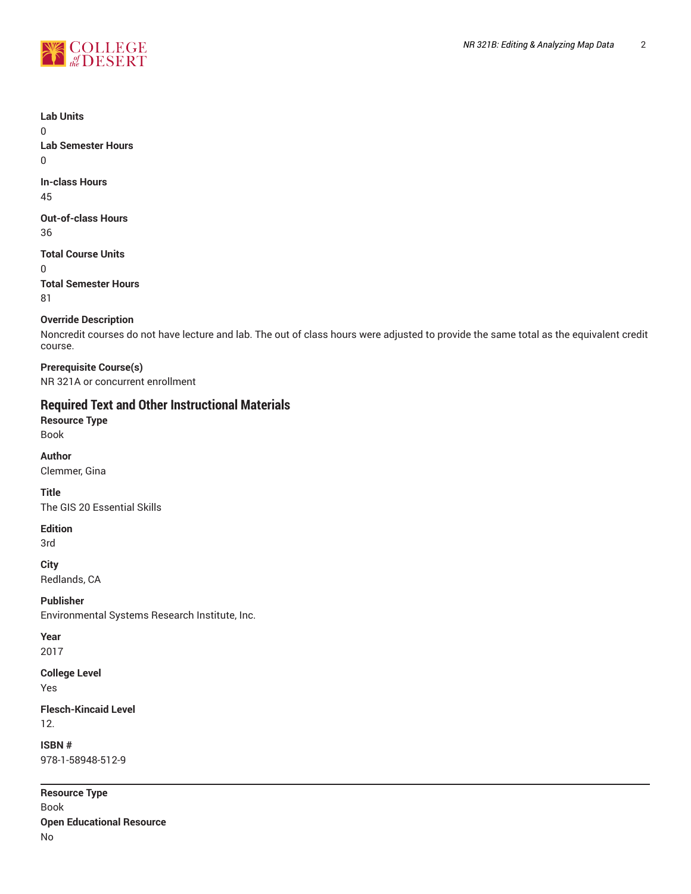

# **Lab Units** 0 **Lab Semester Hours** 0 **In-class Hours**

45

# **Out-of-class Hours** 36

**Total Course Units** 0

**Total Semester Hours** 81

# **Override Description**

Noncredit courses do not have lecture and lab. The out of class hours were adjusted to provide the same total as the equivalent credit course.

**Prerequisite Course(s)** NR 321A or concurrent enrollment

# **Required Text and Other Instructional Materials**

**Resource Type** Book

**Author**

Clemmer, Gina

**Title** The GIS 20 Essential Skills

# **Edition**

3rd

**City**

Redlands, CA

**Publisher** Environmental Systems Research Institute, Inc.

**Year** 2017

**College Level** Yes

**Flesch-Kincaid Level** 12.

**ISBN #** 978-1-58948-512-9

**Resource Type** Book **Open Educational Resource** No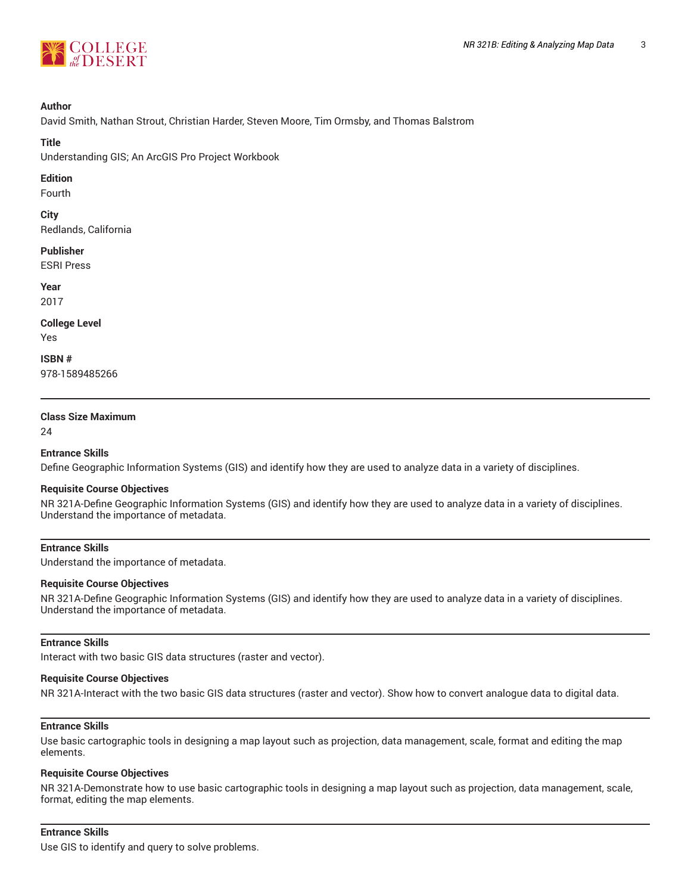

## **Author**

David Smith, Nathan Strout, Christian Harder, Steven Moore, Tim Ormsby, and Thomas Balstrom

# **Title**

Understanding GIS; An ArcGIS Pro Project Workbook

# **Edition**

Fourth

**City** Redlands, California

## **Publisher**

ESRI Press

## **Year**

2017

#### **College Level** Yes

**ISBN #**

978-1589485266

# **Class Size Maximum**

24

# **Entrance Skills**

Define Geographic Information Systems (GIS) and identify how they are used to analyze data in a variety of disciplines.

# **Requisite Course Objectives**

NR 321A-Define Geographic Information Systems (GIS) and identify how they are used to analyze data in a variety of disciplines. Understand the importance of metadata.

# **Entrance Skills**

Understand the importance of metadata.

## **Requisite Course Objectives**

NR 321A-Define Geographic Information Systems (GIS) and identify how they are used to analyze data in a variety of disciplines. Understand the importance of metadata.

# **Entrance Skills**

Interact with two basic GIS data structures (raster and vector).

# **Requisite Course Objectives**

NR 321A-Interact with the two basic GIS data structures (raster and vector). Show how to convert analogue data to digital data.

# **Entrance Skills**

Use basic cartographic tools in designing a map layout such as projection, data management, scale, format and editing the map elements.

## **Requisite Course Objectives**

NR 321A-Demonstrate how to use basic cartographic tools in designing a map layout such as projection, data management, scale, format, editing the map elements.

# **Entrance Skills**

Use GIS to identify and query to solve problems.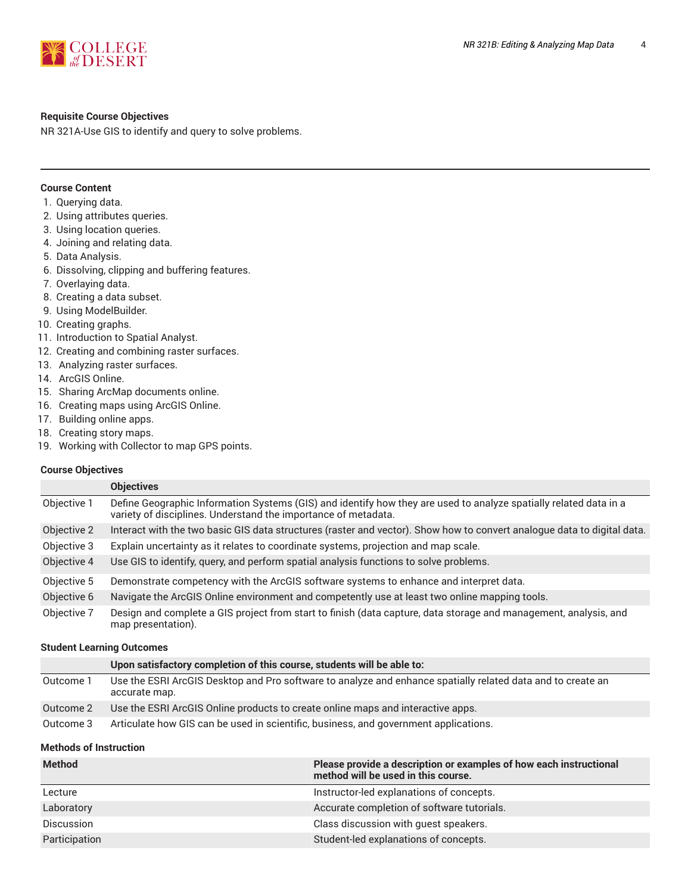

# **Requisite Course Objectives**

NR 321A-Use GIS to identify and query to solve problems.

# **Course Content**

- 1. Querying data.
- 2. Using attributes queries.
- 3. Using location queries.
- 4. Joining and relating data.
- 5. Data Analysis.
- 6. Dissolving, clipping and buffering features.
- 7. Overlaying data.
- 8. Creating a data subset.
- 9. Using ModelBuilder.
- 10. Creating graphs.
- 11. Introduction to Spatial Analyst.
- 12. Creating and combining raster surfaces.
- 13. Analyzing raster surfaces.
- 14. ArcGIS Online.
- 15. Sharing ArcMap documents online.
- 16. Creating maps using ArcGIS Online.
- 17. Building online apps.
- 18. Creating story maps.
- 19. Working with Collector to map GPS points.

## **Course Objectives**

|             | <b>Objectives</b>                                                                                                                                                                   |
|-------------|-------------------------------------------------------------------------------------------------------------------------------------------------------------------------------------|
| Objective 1 | Define Geographic Information Systems (GIS) and identify how they are used to analyze spatially related data in a<br>variety of disciplines. Understand the importance of metadata. |
| Objective 2 | Interact with the two basic GIS data structures (raster and vector). Show how to convert analogue data to digital data.                                                             |
| Objective 3 | Explain uncertainty as it relates to coordinate systems, projection and map scale.                                                                                                  |
| Objective 4 | Use GIS to identify, query, and perform spatial analysis functions to solve problems.                                                                                               |
| Objective 5 | Demonstrate competency with the ArcGIS software systems to enhance and interpret data.                                                                                              |
| Objective 6 | Navigate the ArcGIS Online environment and competently use at least two online mapping tools.                                                                                       |
| Objective 7 | Design and complete a GIS project from start to finish (data capture, data storage and management, analysis, and<br>map presentation).                                              |

#### **Student Learning Outcomes**

|           | Upon satisfactory completion of this course, students will be able to:                                                       |
|-----------|------------------------------------------------------------------------------------------------------------------------------|
| Outcome 1 | Use the ESRI ArcGIS Desktop and Pro software to analyze and enhance spatially related data and to create an<br>accurate map. |
| Outcome 2 | Use the ESRI ArcGIS Online products to create online maps and interactive apps.                                              |
| Outcome 3 | Articulate how GIS can be used in scientific, business, and government applications.                                         |

# **Methods of Instruction**

| <b>Method</b>     | Please provide a description or examples of how each instructional<br>method will be used in this course. |
|-------------------|-----------------------------------------------------------------------------------------------------------|
| Lecture           | Instructor-led explanations of concepts.                                                                  |
| Laboratory        | Accurate completion of software tutorials.                                                                |
| <b>Discussion</b> | Class discussion with guest speakers.                                                                     |
| Participation     | Student-led explanations of concepts.                                                                     |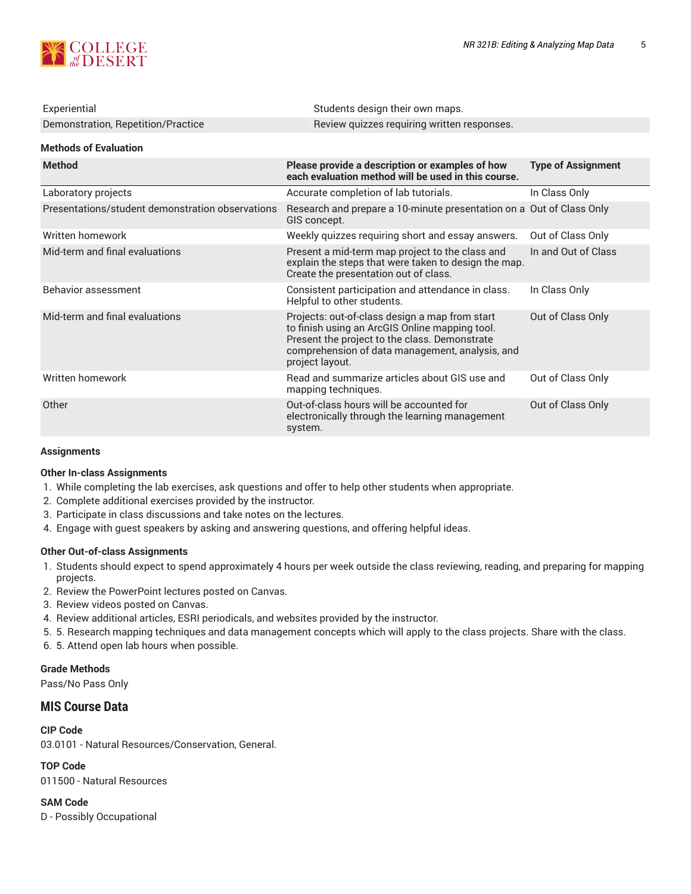

| Experiential                                     | Students design their own maps.                                                                                                                                                                                         |                           |
|--------------------------------------------------|-------------------------------------------------------------------------------------------------------------------------------------------------------------------------------------------------------------------------|---------------------------|
| Demonstration, Repetition/Practice               | Review quizzes requiring written responses.                                                                                                                                                                             |                           |
| <b>Methods of Evaluation</b>                     |                                                                                                                                                                                                                         |                           |
| <b>Method</b>                                    | Please provide a description or examples of how<br>each evaluation method will be used in this course.                                                                                                                  | <b>Type of Assignment</b> |
| Laboratory projects                              | Accurate completion of lab tutorials.                                                                                                                                                                                   | In Class Only             |
| Presentations/student demonstration observations | Research and prepare a 10-minute presentation on a Out of Class Only<br>GIS concept.                                                                                                                                    |                           |
| Written homework                                 | Weekly quizzes requiring short and essay answers.                                                                                                                                                                       | Out of Class Only         |
| Mid-term and final evaluations                   | Present a mid-term map project to the class and<br>explain the steps that were taken to design the map.<br>Create the presentation out of class.                                                                        | In and Out of Class       |
| Behavior assessment                              | Consistent participation and attendance in class.<br>Helpful to other students.                                                                                                                                         | In Class Only             |
| Mid-term and final evaluations                   | Projects: out-of-class design a map from start<br>to finish using an ArcGIS Online mapping tool.<br>Present the project to the class. Demonstrate<br>comprehension of data management, analysis, and<br>project layout. | Out of Class Only         |
| Written homework                                 | Read and summarize articles about GIS use and<br>mapping techniques.                                                                                                                                                    | Out of Class Only         |
| Other                                            | Out-of-class hours will be accounted for<br>electronically through the learning management<br>system.                                                                                                                   | Out of Class Only         |

# **Assignments**

# **Other In-class Assignments**

- 1. While completing the lab exercises, ask questions and offer to help other students when appropriate.
- 2. Complete additional exercises provided by the instructor.
- 3. Participate in class discussions and take notes on the lectures.
- 4. Engage with guest speakers by asking and answering questions, and offering helpful ideas.

# **Other Out-of-class Assignments**

- 1. Students should expect to spend approximately 4 hours per week outside the class reviewing, reading, and preparing for mapping projects.
- 2. Review the PowerPoint lectures posted on Canvas.
- 3. Review videos posted on Canvas.
- 4. Review additional articles, ESRI periodicals, and websites provided by the instructor.
- 5. 5. Research mapping techniques and data management concepts which will apply to the class projects. Share with the class.
- 6. 5. Attend open lab hours when possible.

# **Grade Methods**

Pass/No Pass Only

# **MIS Course Data**

**CIP Code** 03.0101 - Natural Resources/Conservation, General.

**TOP Code** 011500 - Natural Resources

**SAM Code** D - Possibly Occupational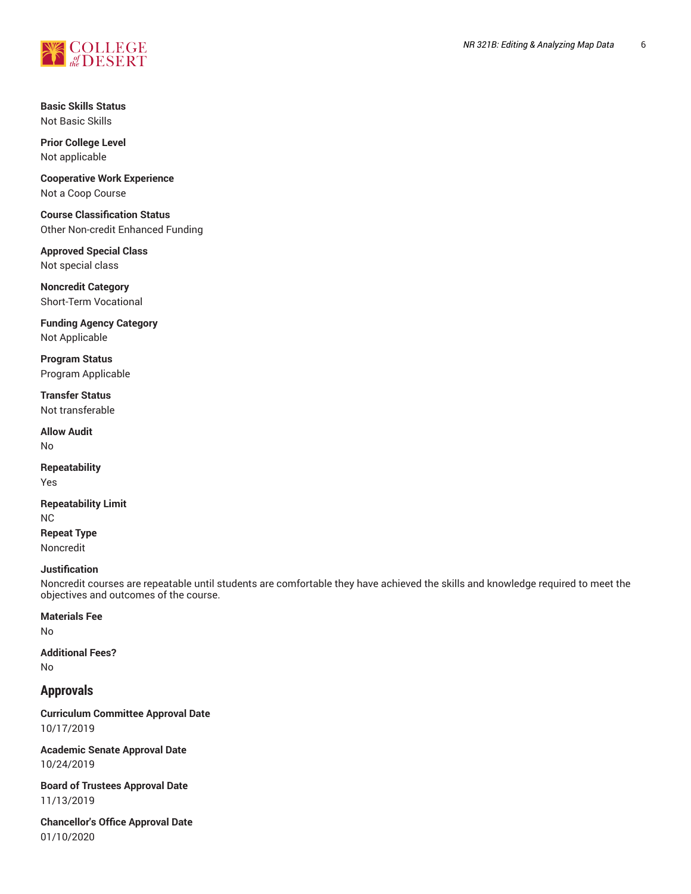

**Basic Skills Status** Not Basic Skills

**Prior College Level** Not applicable

**Cooperative Work Experience** Not a Coop Course

**Course Classification Status** Other Non-credit Enhanced Funding

**Approved Special Class** Not special class

**Noncredit Category** Short-Term Vocational

**Funding Agency Category** Not Applicable

**Program Status** Program Applicable

**Transfer Status** Not transferable

**Allow Audit** No

**Repeatability** Yes

**Repeatability Limit** NC **Repeat Type** Noncredit

## **Justification**

Noncredit courses are repeatable until students are comfortable they have achieved the skills and knowledge required to meet the objectives and outcomes of the course.

## **Materials Fee**

No

**Additional Fees?** No

# **Approvals**

**Curriculum Committee Approval Date** 10/17/2019

**Academic Senate Approval Date** 10/24/2019

**Board of Trustees Approval Date** 11/13/2019

**Chancellor's Office Approval Date** 01/10/2020